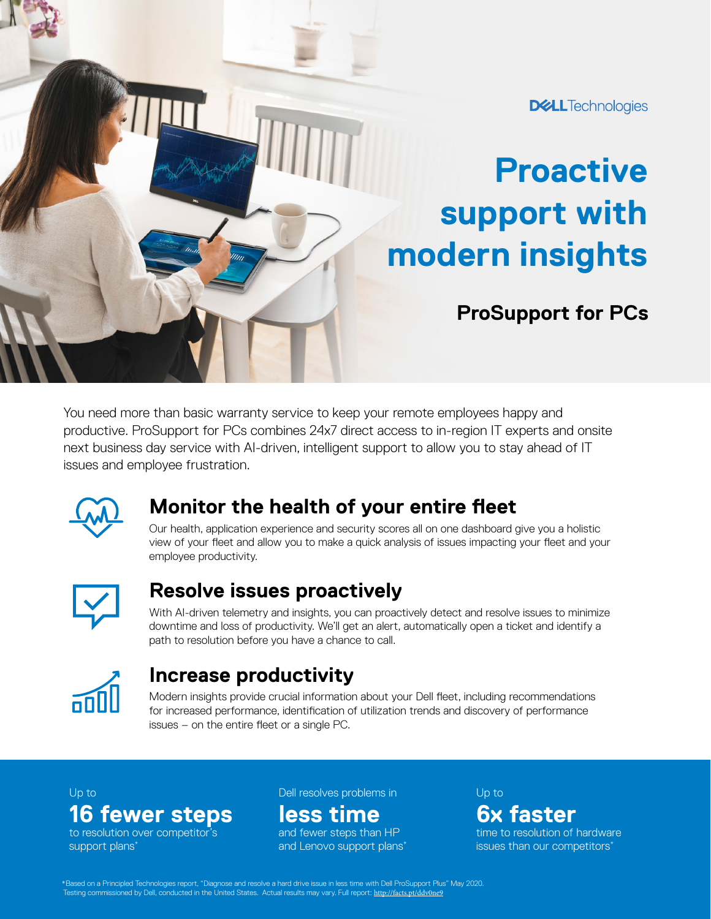#### **DELL**Technologies

# **Proactive support with modern insights**

## **ProSupport for PCs**

You need more than basic warranty service to keep your remote employees happy and productive. ProSupport for PCs combines 24x7 direct access to in-region IT experts and onsite next business day service with AI-driven, intelligent support to allow you to stay ahead of IT issues and employee frustration.



### **Monitor the health of your entire fleet**

Our health, application experience and security scores all on one dashboard give you a holistic view of your fleet and allow you to make a quick analysis of issues impacting your fleet and your employee productivity.



### **Resolve issues proactively**

With AI-driven telemetry and insights, you can proactively detect and resolve issues to minimize downtime and loss of productivity. We'll get an alert, automatically open a ticket and identify a path to resolution before you have a chance to call.



#### **Increase productivity**

Modern insights provide crucial information about your Dell fleet, including recommendations for increased performance, identification of utilization trends and discovery of performance issues – on the entire fleet or a single PC.

#### **16 fewer steps**

to resolution over competitor's support plans<sup>\*</sup>

Up to Dell resolves problems in Up to

### **less time**

and fewer steps than HP and Lenovo support plans\*

# **6x faster**

time to resolution of hardware issues than our competitors\*

\*Based on a Principled Technologies report, "Diagnose and resolve a hard drive issue in less time with Dell ProSupport Plus" May 2020.<br>Testing commissioned by Dell, conducted in the United States. Actual results may vary.